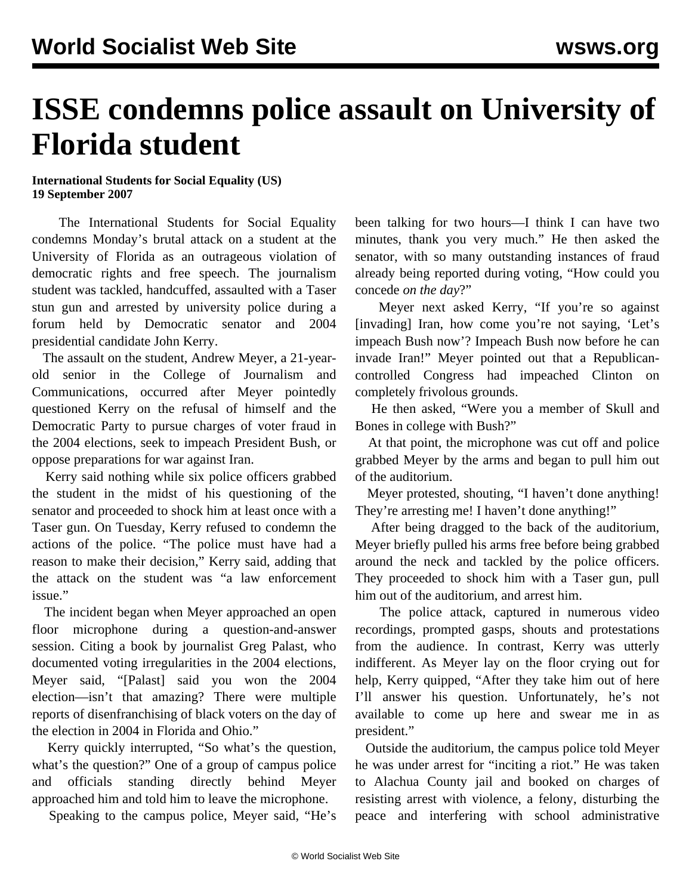## **ISSE condemns police assault on University of Florida student**

## **International Students for Social Equality (US) 19 September 2007**

 The International Students for Social Equality condemns Monday's brutal attack on a student at the University of Florida as an outrageous violation of democratic rights and free speech. The journalism student was tackled, handcuffed, assaulted with a Taser stun gun and arrested by university police during a forum held by Democratic senator and 2004 presidential candidate John Kerry.

 The assault on the student, Andrew Meyer, a 21-yearold senior in the College of Journalism and Communications, occurred after Meyer pointedly questioned Kerry on the refusal of himself and the Democratic Party to pursue charges of voter fraud in the 2004 elections, seek to impeach President Bush, or oppose preparations for war against Iran.

 Kerry said nothing while six police officers grabbed the student in the midst of his questioning of the senator and proceeded to shock him at least once with a Taser gun. On Tuesday, Kerry refused to condemn the actions of the police. "The police must have had a reason to make their decision," Kerry said, adding that the attack on the student was "a law enforcement issue."

 The incident began when Meyer approached an open floor microphone during a question-and-answer session. Citing a book by journalist Greg Palast, who documented voting irregularities in the 2004 elections, Meyer said, "[Palast] said you won the 2004 election—isn't that amazing? There were multiple reports of disenfranchising of black voters on the day of the election in 2004 in Florida and Ohio."

 Kerry quickly interrupted, "So what's the question, what's the question?" One of a group of campus police and officials standing directly behind Meyer approached him and told him to leave the microphone.

Speaking to the campus police, Meyer said, "He's

been talking for two hours—I think I can have two minutes, thank you very much." He then asked the senator, with so many outstanding instances of fraud already being reported during voting, "How could you concede *on the day*?"

 Meyer next asked Kerry, "If you're so against [invading] Iran, how come you're not saying, 'Let's impeach Bush now'? Impeach Bush now before he can invade Iran!" Meyer pointed out that a Republicancontrolled Congress had impeached Clinton on completely frivolous grounds.

 He then asked, "Were you a member of Skull and Bones in college with Bush?"

 At that point, the microphone was cut off and police grabbed Meyer by the arms and began to pull him out of the auditorium.

 Meyer protested, shouting, "I haven't done anything! They're arresting me! I haven't done anything!"

 After being dragged to the back of the auditorium, Meyer briefly pulled his arms free before being grabbed around the neck and tackled by the police officers. They proceeded to shock him with a Taser gun, pull him out of the auditorium, and arrest him.

 The police attack, captured in numerous video recordings, prompted gasps, shouts and protestations from the audience. In contrast, Kerry was utterly indifferent. As Meyer lay on the floor crying out for help, Kerry quipped, "After they take him out of here I'll answer his question. Unfortunately, he's not available to come up here and swear me in as president."

 Outside the auditorium, the campus police told Meyer he was under arrest for "inciting a riot." He was taken to Alachua County jail and booked on charges of resisting arrest with violence, a felony, disturbing the peace and interfering with school administrative